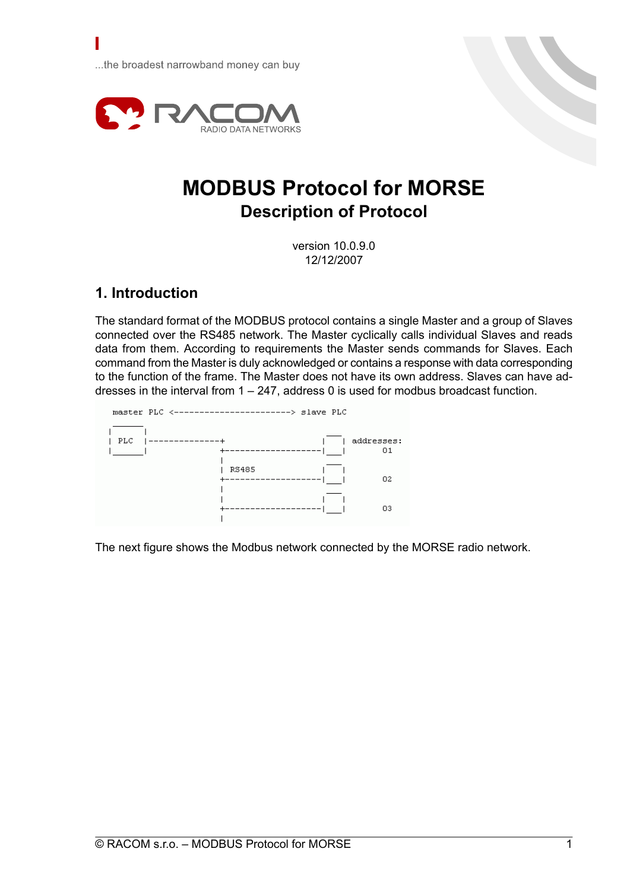...the broadest narrowband money can buy



# **MODBUS Protocol for MORSE Description of Protocol**

version 10.0.9.0 12/12/2007

# **1. Introduction**

The standard format of the MODBUS protocol contains a single Master and a group of Slaves connected over the RS485 network. The Master cyclically calls individual Slaves and reads data from them. According to requirements the Master sends commands for Slaves. Each command from the Master is duly acknowledged or contains a response with data corresponding to the function of the frame. The Master does not have its own address. Slaves can have addresses in the interval from 1 – 247, address 0 is used for modbus broadcast function.



The next figure shows the Modbus network connected by the MORSE radio network.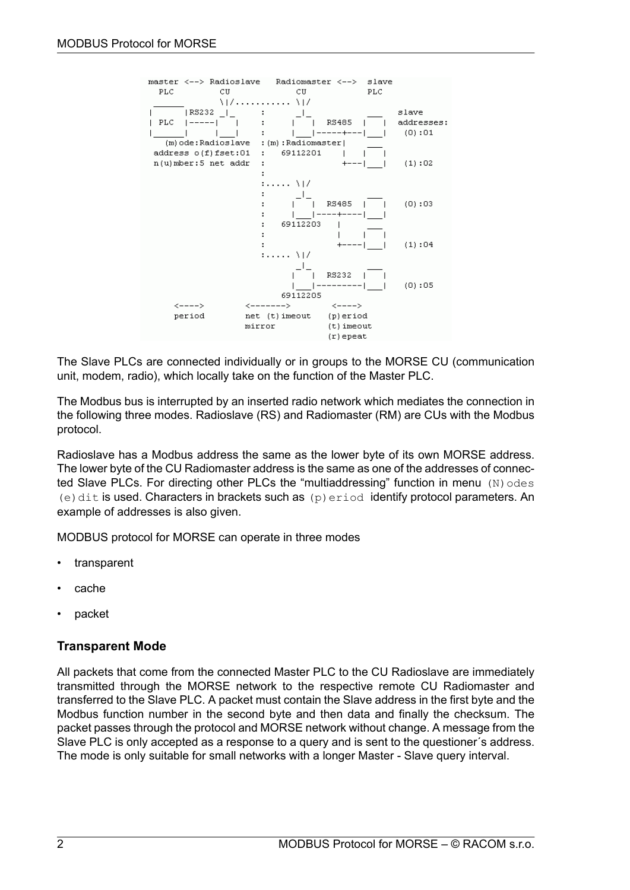

The Slave PLCs are connected individually or in groups to the MORSE CU (communication unit, modem, radio), which locally take on the function of the Master PLC.

The Modbus bus is interrupted by an inserted radio network which mediates the connection in the following three modes. Radioslave (RS) and Radiomaster (RM) are CUs with the Modbus protocol.

Radioslave has a Modbus address the same as the lower byte of its own MORSE address. The lower byte of the CU Radiomaster address is the same as one of the addresses of connected Slave PLCs. For directing other PLCs the "multiaddressing" function in menu  $(N)$  odes (e) dit is used. Characters in brackets such as  $(p)$  exiod identify protocol parameters. An example of addresses is also given.

MODBUS protocol for MORSE can operate in three modes

- transparent
- cache
- packet

# **Transparent Mode**

All packets that come from the connected Master PLC to the CU Radioslave are immediately transmitted through the MORSE network to the respective remote CU Radiomaster and transferred to the Slave PLC. A packet must contain the Slave address in the first byte and the Modbus function number in the second byte and then data and finally the checksum. The packet passes through the protocol and MORSE network without change. A message from the Slave PLC is only accepted as a response to a query and is sent to the questioner´s address. The mode is only suitable for small networks with a longer Master - Slave query interval.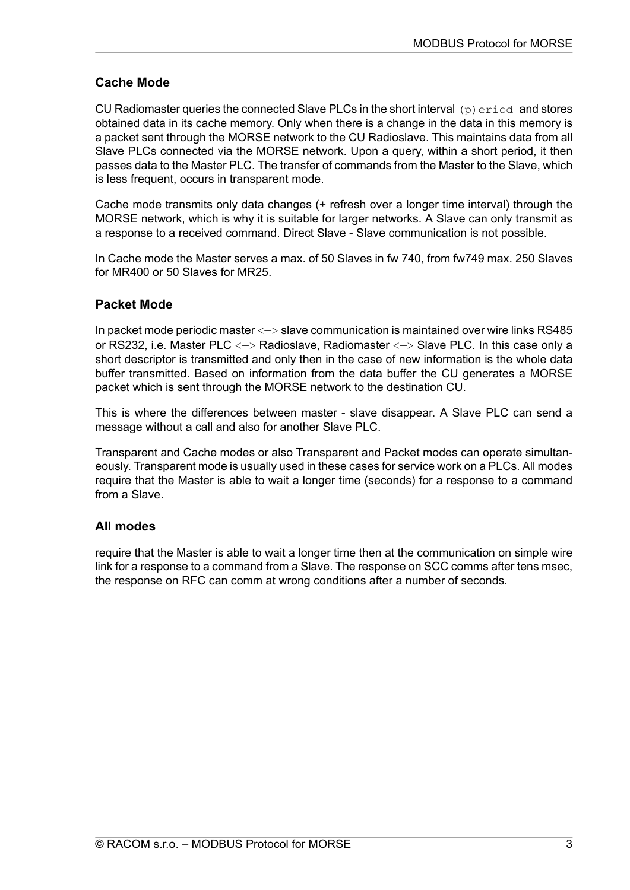# **Cache Mode**

CU Radiomaster queries the connected Slave PLCs in the short interval  $(p)$  exiod and stores obtained data in its cache memory. Only when there is a change in the data in this memory is a packet sent through the MORSE network to the CU Radioslave. This maintains data from all Slave PLCs connected via the MORSE network. Upon a query, within a short period, it then passes data to the Master PLC. The transfer of commands from the Master to the Slave, which is less frequent, occurs in transparent mode.

Cache mode transmits only data changes (+ refresh over a longer time interval) through the MORSE network, which is why it is suitable for larger networks. A Slave can only transmit as a response to a received command. Direct Slave - Slave communication is not possible.

In Cache mode the Master serves a max. of 50 Slaves in fw 740, from fw749 max. 250 Slaves for MR400 or 50 Slaves for MR25.

# **Packet Mode**

In packet mode periodic master <—> slave communication is maintained over wire links RS485 or RS232, i.e. Master PLC <—> Radioslave, Radiomaster <—> Slave PLC. In this case only a short descriptor is transmitted and only then in the case of new information is the whole data buffer transmitted. Based on information from the data buffer the CU generates a MORSE packet which is sent through the MORSE network to the destination CU.

This is where the differences between master - slave disappear. A Slave PLC can send a message without a call and also for another Slave PLC.

Transparent and Cache modes or also Transparent and Packet modes can operate simultaneously. Transparent mode is usually used in these cases for service work on a PLCs. All modes require that the Master is able to wait a longer time (seconds) for a response to a command from a Slave.

# **All modes**

require that the Master is able to wait a longer time then at the communication on simple wire link for a response to a command from a Slave. The response on SCC comms after tens msec, the response on RFC can comm at wrong conditions after a number of seconds.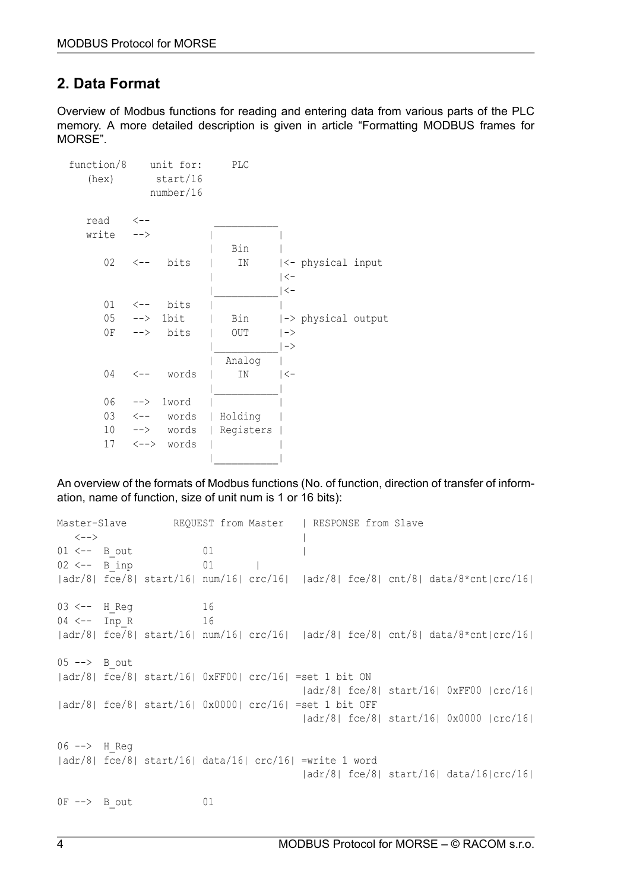# <span id="page-3-0"></span>**2. Data Format**

Overview of Modbus functions for reading and entering data from various parts of the PLC memory. A more detailed description is given in article "Formatting MODBUS frames for MORSE".

| function/8<br>(hex) |               | unit for:<br>start/16<br>number/16 | <b>PLC</b> |                    |
|---------------------|---------------|------------------------------------|------------|--------------------|
| read                | <u>&lt;--</u> |                                    |            |                    |
| write               | $--&$         |                                    |            |                    |
|                     |               |                                    | Bin        |                    |
| 02                  |               | $\leftarrow -$ bits                | ΙN         | <- physical input  |
|                     |               |                                    |            | <-                 |
|                     |               |                                    |            | $ <$ -             |
|                     |               | $01 \leftarrow -$ bits             |            |                    |
|                     | $05$ --> 1bit |                                    | Bin        | -> physical output |
|                     |               | $0F$ --> bits                      | OUT        | $\vert$ ->         |
|                     |               |                                    |            | ∣ –>               |
|                     |               |                                    | Analog     |                    |
| 04                  |               | <-- words                          | IN         | <-                 |
|                     |               |                                    |            |                    |
| 06                  |               | --> 1word                          |            |                    |
|                     |               | $03 \leftarrow -$ words            | Holding    |                    |
|                     |               | $10$ --> words                     | Registers  |                    |
|                     |               | 17 <--> words                      |            |                    |
|                     |               |                                    |            |                    |
|                     |               |                                    |            |                    |

An overview of the formats of Modbus functions (No. of function, direction of transfer of information, name of function, size of unit num is 1 or 16 bits):

Master-Slave REQUEST from Master | RESPONSE from Slave <--> | 01 <-- B out 01 |  $02 \leftarrow -$  B inp 01 | |adr/8| fce/8| start/16| num/16| crc/16| |adr/8| fce/8| cnt/8| data/8\*cnt|crc/16| 03 <-- H Reg 16 04 <-- Inp\_R 16 |adr/8| fce/8| start/16| num/16| crc/16| |adr/8| fce/8| cnt/8| data/8\*cnt|crc/16|  $05$   $\rightarrow$  B out |adr/8| fce/8| start/16| 0xFF00| crc/16| =set 1 bit ON |adr/8| fce/8| start/16| 0xFF00 |crc/16| |adr/8| fce/8| start/16| 0x0000| crc/16| =set 1 bit OFF |adr/8| fce/8| start/16| 0x0000 |crc/16| 06 --> H Reg |adr/8| fce/8| start/16| data/16| crc/16| =write 1 word |adr/8| fce/8| start/16| data/16|crc/16| 0F --> B out 01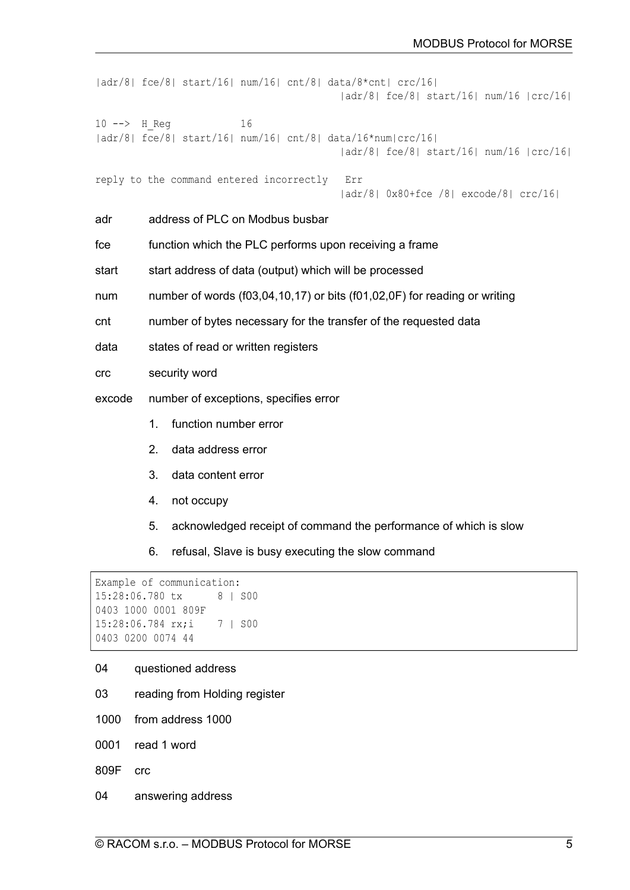```
|adr/8| fce/8| start/16| num/16| cnt/8| data/8*cnt| crc/16|
                                          |adr/8| fce/8| start/16| num/16 |crc/16|
10 --> H_Reg 16
|adr/8| fce/8| start/16| num/16| cnt/8| data/16*num|crc/16|
                                         |adr/8| fce/8| start/16| num/16 |crc/16|
reply to the command entered incorrectly Err
                                         |adr/8| 0x80+fce /8| excode/8| crc/16|
adr address of PLC on Modbus busbar
free function which the PLC performs upon receiving a frame
start start address of data (output) which will be processed
num number of words (f03,04,10,17) or bits (f01,02,0F) for reading or writing
cnt number of bytes necessary for the transfer of the requested data
data states of read or written registers
crc security word
excode number of exceptions, specifies error
         1. function number error
         2. data address error
```
- 3. data content error
- 4. not occupy
- 5. acknowledged receipt of command the performance of which is slow
- 6. refusal, Slave is busy executing the slow command

```
Example of communication:
15:28:06.780 tx 8 | S00
0403 1000 0001 809F
15:28:06.784 rx;i 7 | S00
0403 0200 0074 44
```
#### 04 questioned address

- 03 reading from Holding register
- 1000 from address 1000
- 0001 read 1 word
- 809F crc
- 04 answering address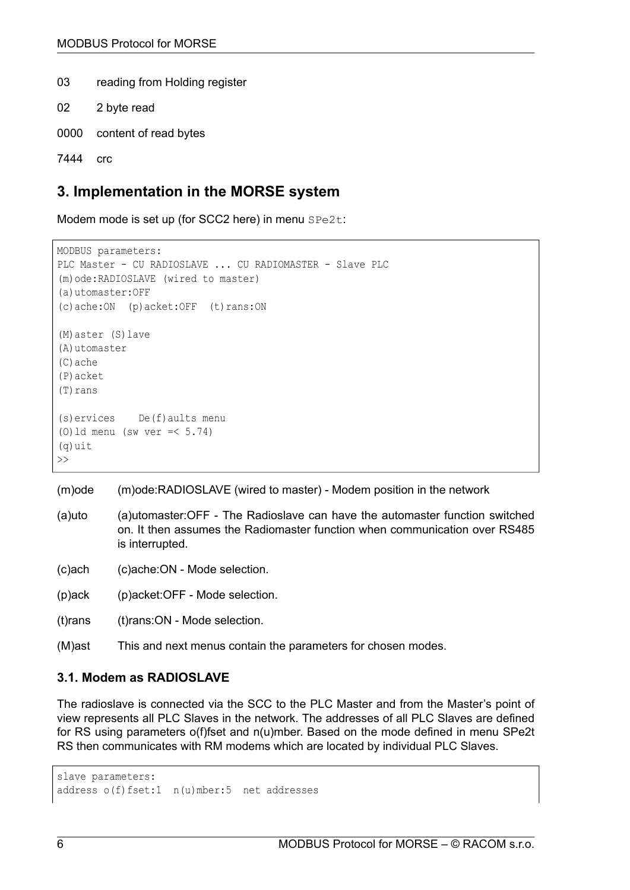03 reading from Holding register

- 02 2 byte read
- 0000 content of read bytes

```
7444 crc
```
# **3. Implementation in the MORSE system**

Modem mode is set up (for SCC2 here) in menu SPe2t:

```
MODBUS parameters:
PLC Master - CU RADIOSLAVE ... CU RADIOMASTER - Slave PLC
(m)ode:RADIOSLAVE (wired to master)
(a)utomaster:OFF
(c)ache:ON (p)acket:OFF (t)rans:ON
(M)aster (S)lave
(A)utomaster
(C)ache
(P)acket
(T)rans
(s)ervices De(f)aults menu
(0) ld menu (sw ver =< 5.74)
(q)uit
\gt
```
(m)ode (m)ode:RADIOSLAVE (wired to master) - Modem position in the network

- (a)uto (a)utomaster:OFF The Radioslave can have the automaster function switched on. It then assumes the Radiomaster function when communication over RS485 is interrupted.
- (c)ach (c)ache:ON Mode selection.
- (p)ack (p)acket:OFF Mode selection.
- (t)rans (t)rans:ON Mode selection.
- (M)ast This and next menus contain the parameters for chosen modes.

### **3.1. Modem as RADIOSLAVE**

The radioslave is connected via the SCC to the PLC Master and from the Master's point of view represents all PLC Slaves in the network. The addresses of all PLC Slaves are defined for RS using parameters o(f)fset and n(u)mber. Based on the mode defined in menu SPe2t RS then communicates with RM modems which are located by individual PLC Slaves.

slave parameters: address o(f)fset:1 n(u)mber:5 net addresses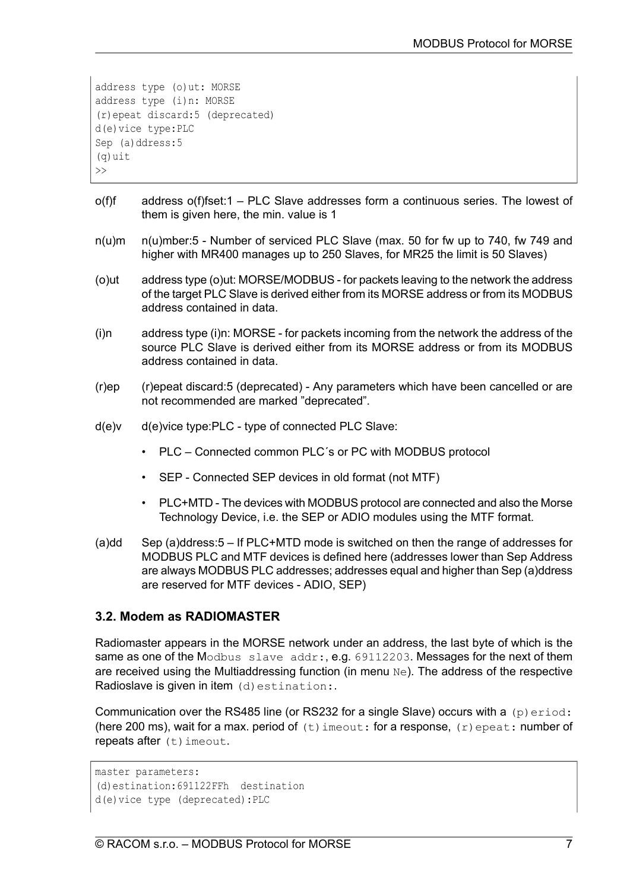```
address type (o)ut: MORSE
address type (i)n: MORSE
(r)epeat discard:5 (deprecated)
d(e)vice type:PLC
Sep (a)ddress: 5
(q)uit
\rightarrow
```
- o(f)f address o(f)fset:1 PLC Slave addresses form a continuous series. The lowest of them is given here, the min. value is 1
- n(u)m n(u)mber:5 Number of serviced PLC Slave (max. 50 for fw up to 740, fw 749 and higher with MR400 manages up to 250 Slaves, for MR25 the limit is 50 Slaves)
- (o)ut address type (o)ut: MORSE/MODBUS for packets leaving to the network the address of the target PLC Slave is derived either from its MORSE address or from its MODBUS address contained in data.
- (i)n address type (i)n: MORSE for packets incoming from the network the address of the source PLC Slave is derived either from its MORSE address or from its MODBUS address contained in data.
- (r)ep (r)epeat discard:5 (deprecated) Any parameters which have been cancelled or are not recommended are marked "deprecated".
- d(e)v d(e)vice type:PLC type of connected PLC Slave:
	- PLC Connected common PLC´s or PC with MODBUS protocol
	- SEP Connected SEP devices in old format (not MTF)
	- PLC+MTD The devices with MODBUS protocol are connected and also the Morse Technology Device, i.e. the SEP or ADIO modules using the MTF format.
- (a)dd Sep (a)ddress:5 If PLC+MTD mode is switched on then the range of addresses for MODBUS PLC and MTF devices is defined here (addresses lower than Sep Address are always MODBUS PLC addresses; addresses equal and higher than Sep (a)ddress are reserved for MTF devices - ADIO, SEP)

# **3.2. Modem as RADIOMASTER**

Radiomaster appears in the MORSE network under an address, the last byte of which is the same as one of the Modbus slave addr:, e.g. 69112203. Messages for the next of them are received using the Multiaddressing function (in menu Ne). The address of the respective Radioslave is given in item (d) estination:

Communication over the RS485 line (or RS232 for a single Slave) occurs with a  $(p)$  exiod: (here 200 ms), wait for a max. period of  $(t)$  imeout: for a response,  $(r)$  epeat: number of repeats after  $(t)$  imeout.

```
master parameters:
(d)estination:691122FFh destination
d(e)vice type (deprecated):PLC
```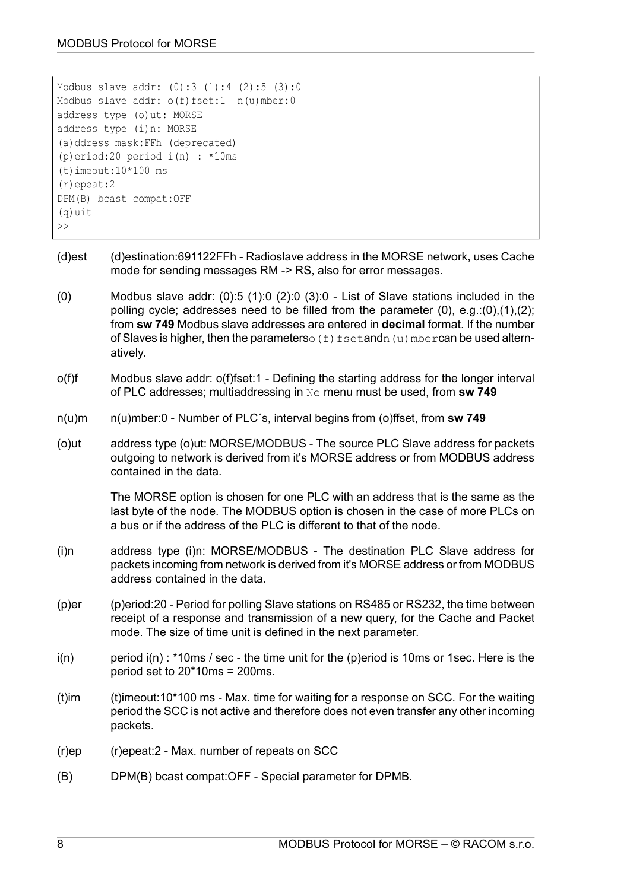```
Modbus slave addr: (0):3 (1):4 (2):5 (3):0
Modbus slave addr: o(f)fset:1 n(u)mber:0
address type (o)ut: MORSE
address type (i)n: MORSE
(a)ddress mask:FFh (deprecated)
(p)eriod:20 period i(n) : *10ms
(t) imeout:10*100 ms
(r)epeat:2
DPM(B) bcast compat:OFF
(q)uit
\gt
```
- (d)est (d)estination:691122FFh Radioslave address in the MORSE network, uses Cache mode for sending messages RM -> RS, also for error messages.
- (0) Modbus slave addr:  $(0)$ :5 (1):0 (2):0 (3):0 List of Slave stations included in the polling cycle; addresses need to be filled from the parameter (0), e.g.:(0),(1),(2); from **sw 749** Modbus slave addresses are entered in **decimal** format. If the number of Slaves is higher, then the parameters  $\circ$  (f) fsetandn(u) mbercan be used alternatively.
- o(f)f Modbus slave addr: o(f)fset:1 Defining the starting address for the longer interval of PLC addresses; multiaddressing in Ne menu must be used, from **sw 749**
- n(u)m n(u)mber:0 Number of PLC´s, interval begins from (o)ffset, from **sw 749**
- (o)ut address type (o)ut: MORSE/MODBUS The source PLC Slave address for packets outgoing to network is derived from it's MORSE address or from MODBUS address contained in the data.

The MORSE option is chosen for one PLC with an address that is the same as the last byte of the node. The MODBUS option is chosen in the case of more PLCs on a bus or if the address of the PLC is different to that of the node.

- (i)n address type (i)n: MORSE/MODBUS The destination PLC Slave address for packets incoming from network is derived from it's MORSE address or from MODBUS address contained in the data.
- (p)er (p)eriod:20 Period for polling Slave stations on RS485 or RS232, the time between receipt of a response and transmission of a new query, for the Cache and Packet mode. The size of time unit is defined in the next parameter.
- $i(n)$  period  $i(n)$ : \*10ms / sec the time unit for the (p)eriod is 10ms or 1sec. Here is the period set to 20\*10ms = 200ms.
- (t)im  $(t)$  imeout:10\*100 ms Max. time for waiting for a response on SCC. For the waiting period the SCC is not active and therefore does not even transfer any other incoming packets.
- (r)ep (r)epeat:2 Max. number of repeats on SCC
- (B) DPM(B) bcast compat:OFF Special parameter for DPMB.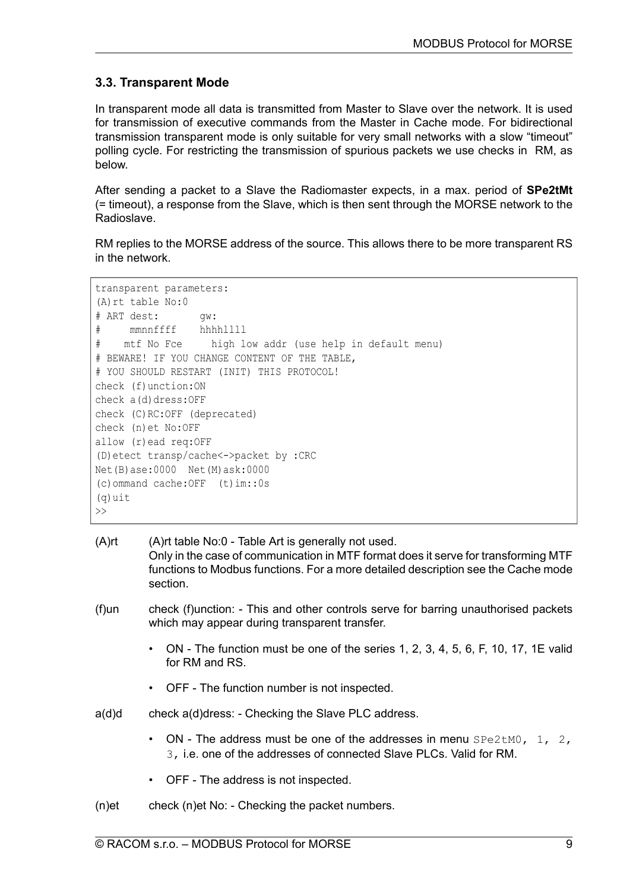# **3.3. Transparent Mode**

In transparent mode all data is transmitted from Master to Slave over the network. It is used for transmission of executive commands from the Master in Cache mode. For bidirectional transmission transparent mode is only suitable for very small networks with a slow "timeout" polling cycle. For restricting the transmission of spurious packets we use checks in RM, as below.

After sending a packet to a Slave the Radiomaster expects, in a max. period of **SPe2tMt** (= timeout), a response from the Slave, which is then sent through the MORSE network to the Radioslave.

RM replies to the MORSE address of the source. This allows there to be more transparent RS in the network.

```
transparent parameters:
(A)rt table No:0
# ART dest: gw:
# mmnnffff hhhhllll
# mtf No Fce high low addr (use help in default menu)
# BEWARE! IF YOU CHANGE CONTENT OF THE TABLE,
# YOU SHOULD RESTART (INIT) THIS PROTOCOL!
check (f)unction:ON
check a(d)dress: OFF
check (C)RC:OFF (deprecated)
check (n)et No:OFF
allow (r)ead req:OFF
(D)etect transp/cache<->packet by :CRC
Net(B)ase:0000 Net(M)ask:0000
(c)ommand cache:OFF (t)im::0s
(q)uit
\gt
```

| (A)rt | (A) rt table No:0 - Table Art is generally not used.<br>Only in the case of communication in MTF format does it serve for transforming MTF<br>functions to Modbus functions. For a more detailed description see the Cache mode |
|-------|---------------------------------------------------------------------------------------------------------------------------------------------------------------------------------------------------------------------------------|
|       | section.                                                                                                                                                                                                                        |

- (f)un check (f)unction: This and other controls serve for barring unauthorised packets which may appear during transparent transfer.
	- ON The function must be one of the series 1, 2, 3, 4, 5, 6, F, 10, 17, 1E valid for RM and RS.
	- OFF The function number is not inspected.
- a(d)d check a(d)dress: Checking the Slave PLC address.
	- ON The address must be one of the addresses in menu  $SPe2tMO$ , 1, 2, 3, i.e. one of the addresses of connected Slave PLCs. Valid for RM.
	- OFF The address is not inspected.
- $(n)$ et check  $(n)$ et No: Checking the packet numbers.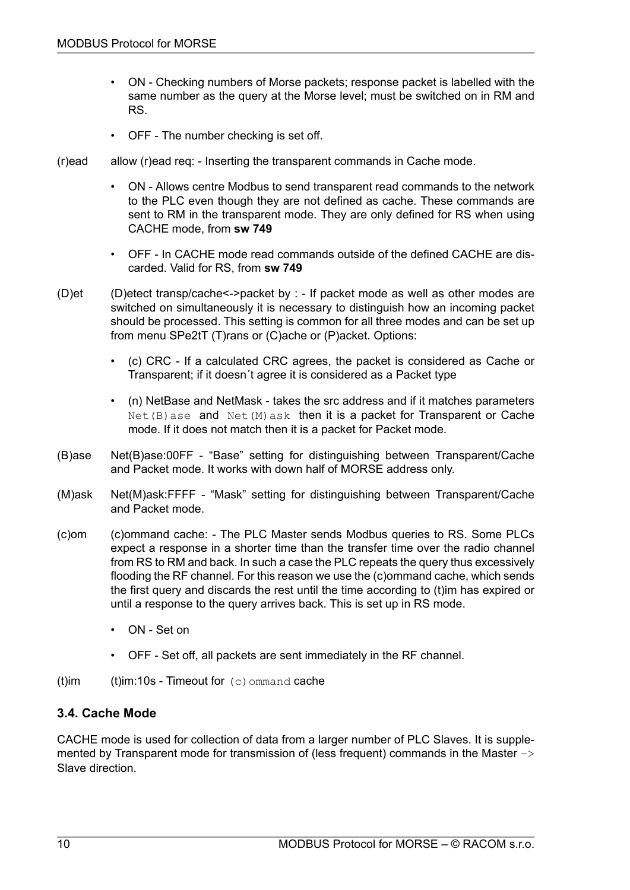- ON Checking numbers of Morse packets; response packet is labelled with the same number as the query at the Morse level; must be switched on in RM and RS.
- OFF The number checking is set off.
- (r)ead allow (r)ead req: Inserting the transparent commands in Cache mode.
	- ON Allows centre Modbus to send transparent read commands to the network to the PLC even though they are not defined as cache. These commands are sent to RM in the transparent mode. They are only defined for RS when using CACHE mode, from **sw 749**
	- OFF In CACHE mode read commands outside of the defined CACHE are discarded. Valid for RS, from **sw 749**
- (D)et (D)etect transp/cache<->packet by : If packet mode as well as other modes are switched on simultaneously it is necessary to distinguish how an incoming packet should be processed. This setting is common for all three modes and can be set up from menu SPe2tT (T)rans or (C)ache or (P)acket. Options:
	- (c) CRC If a calculated CRC agrees, the packet is considered as Cache or Transparent; if it doesn´t agree it is considered as a Packet type
	- (n) NetBase and NetMask takes the src address and if it matches parameters  $Net(B)$  ase and  $Net(M)$  ask then it is a packet for Transparent or Cache mode. If it does not match then it is a packet for Packet mode.
- (B)ase Net(B)ase:00FF "Base" setting for distinguishing between Transparent/Cache and Packet mode. It works with down half of MORSE address only.
- (M)ask Net(M)ask:FFFF "Mask" setting for distinguishing between Transparent/Cache and Packet mode.
- (c)om (c)ommand cache: The PLC Master sends Modbus queries to RS. Some PLCs expect a response in a shorter time than the transfer time over the radio channel from RS to RM and back. In such a case the PLC repeats the query thus excessively flooding the RF channel. For this reason we use the (c)ommand cache, which sends the first query and discards the rest until the time according to (t)im has expired or until a response to the query arrives back. This is set up in RS mode.
	- ON Set on
	- OFF Set off, all packets are sent immediately in the RF channel.
- (t)im  $(t)$ im:10s Timeout for  $(c)$  ommand cache

# **3.4. Cache Mode**

CACHE mode is used for collection of data from a larger number of PLC Slaves. It is supplemented by Transparent mode for transmission of (less frequent) commands in the Master  $\rightarrow$ Slave direction.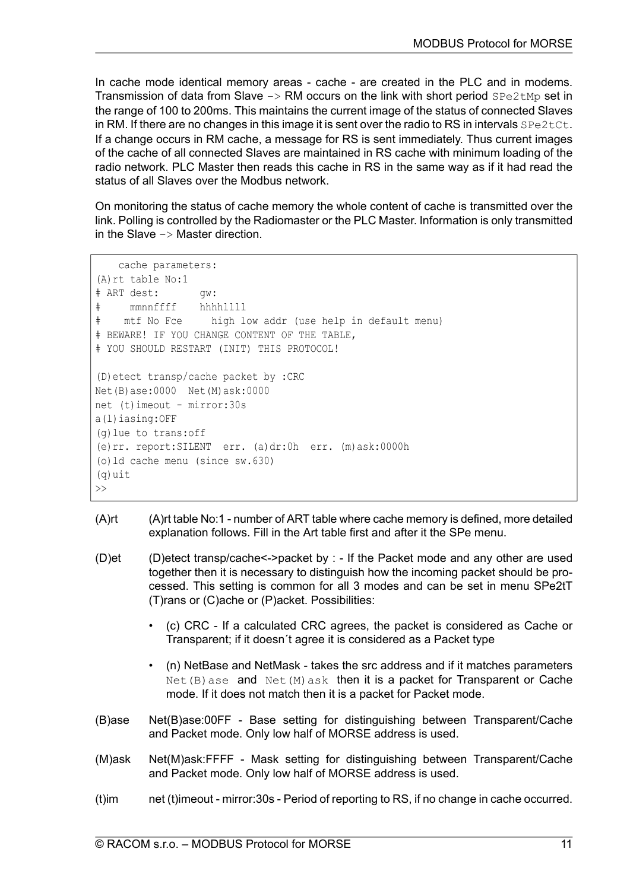In cache mode identical memory areas - cache - are created in the PLC and in modems. Transmission of data from Slave  $\rightarrow$  RM occurs on the link with short period  $\text{SPe2tMp}$  set in the range of 100 to 200ms. This maintains the current image of the status of connected Slaves in RM. If there are no changes in this image it is sent over the radio to RS in intervals  $SPe2tCt$ . If a change occurs in RM cache, a message for RS is sent immediately. Thus current images of the cache of all connected Slaves are maintained in RS cache with minimum loading of the radio network. PLC Master then reads this cache in RS in the same way as if it had read the status of all Slaves over the Modbus network.

On monitoring the status of cache memory the whole content of cache is transmitted over the link. Polling is controlled by the Radiomaster or the PLC Master. Information is only transmitted in the Slave  $\rightarrow$  Master direction.

```
cache parameters:
(A)rt table No:1
# ART dest: gw:
# mmnnffff hhhhllll
# mtf No Fce high low addr (use help in default menu)
# BEWARE! IF YOU CHANGE CONTENT OF THE TABLE,
# YOU SHOULD RESTART (INIT) THIS PROTOCOL!
(D)etect transp/cache packet by :CRC
Net(B)ase:0000 Net(M)ask:0000
net (t)imeout - mirror:30s
a(l)iasing:OFF
(g)lue to trans:off
(e)rr. report:SILENT err. (a)dr:0h err. (m)ask:0000h
(o)ld cache menu (since sw.630)
(q)uit
\gt
```
- (A)rt (A)rt table No:1 number of ART table where cache memory is defined, more detailed explanation follows. Fill in the Art table first and after it the SPe menu.
- (D)et (D)etect transp/cache<->packet by : If the Packet mode and any other are used together then it is necessary to distinguish how the incoming packet should be processed. This setting is common for all 3 modes and can be set in menu SPe2tT (T)rans or (C)ache or (P)acket. Possibilities:
	- (c) CRC If a calculated CRC agrees, the packet is considered as Cache or Transparent; if it doesn´t agree it is considered as a Packet type
	- (n) NetBase and NetMask takes the src address and if it matches parameters  $Net(B)$  ase and  $Net(M)$  ask then it is a packet for Transparent or Cache mode. If it does not match then it is a packet for Packet mode.
- (B)ase Net(B)ase:00FF Base setting for distinguishing between Transparent/Cache and Packet mode. Only low half of MORSE address is used.
- (M)ask Net(M)ask:FFFF Mask setting for distinguishing between Transparent/Cache and Packet mode. Only low half of MORSE address is used.
- (t)im net (t)imeout mirror:30s Period of reporting to RS, if no change in cache occurred.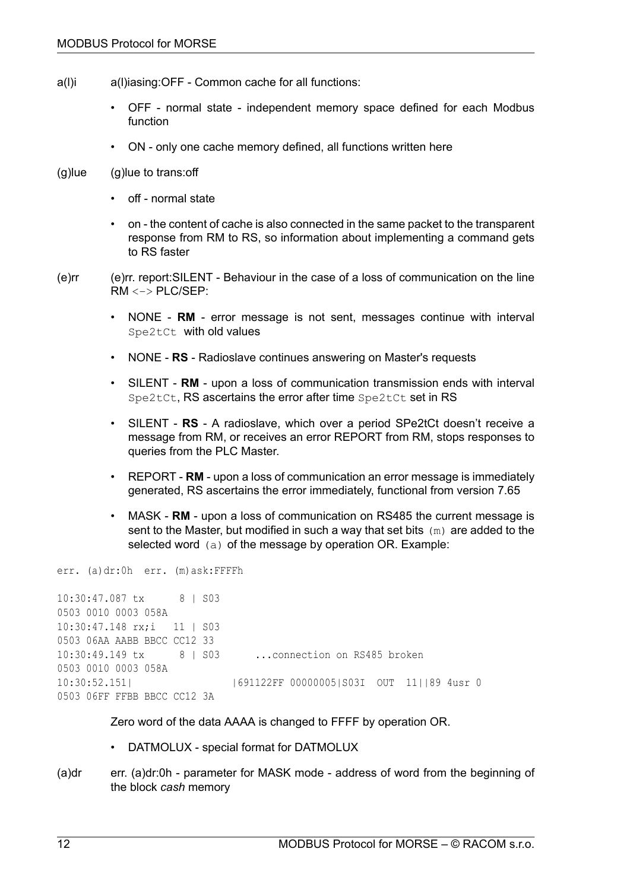- a(l)i a(l)iasing:OFF Common cache for all functions:
	- OFF normal state independent memory space defined for each Modbus function
	- ON only one cache memory defined, all functions written here
- $(g)$ lue  $(g)$ lue to trans: off
	- off normal state
	- on the content of cache is also connected in the same packet to the transparent response from RM to RS, so information about implementing a command gets to RS faster
- (e)rr (e)rr. report:SILENT Behaviour in the case of a loss of communication on the line RM <–> PLC/SEP:
	- NONE **RM** error message is not sent, messages continue with interval Spe2tCt with old values
	- NONE **RS** Radioslave continues answering on Master's requests
	- SILENT **RM** upon a loss of communication transmission ends with interval Spe2tCt, RS ascertains the error after time Spe2tCt set in RS
	- SILENT **RS** A radioslave, which over a period SPe2tCt doesn't receive a message from RM, or receives an error REPORT from RM, stops responses to queries from the PLC Master.
	- REPORT **RM** upon a loss of communication an error message is immediately generated, RS ascertains the error immediately, functional from version 7.65
	- MASK **RM** upon a loss of communication on RS485 the current message is sent to the Master, but modified in such a way that set bits  $(m)$  are added to the selected word (a) of the message by operation OR. Example:

err. (a)dr:0h err. (m)ask:FFFFh

```
10:30:47.087 tx 8 | S03
0503 0010 0003 058A
10:30:47.148 rx;i 11 | S03
0503 06AA AABB BBCC CC12 33
10:30:49.149 tx 8 | S03 ...connection on RS485 broken
0503 0010 0003 058A
10:30:52.151| |691122FF 00000005|S03I OUT 11||89 4usr 0
0503 06FF FFBB BBCC CC12 3A
```
Zero word of the data AAAA is changed to FFFF by operation OR.

- DATMOLUX special format for DATMOLUX
- (a)dr err. (a)dr:0h parameter for MASK mode address of word from the beginning of the block *cash* memory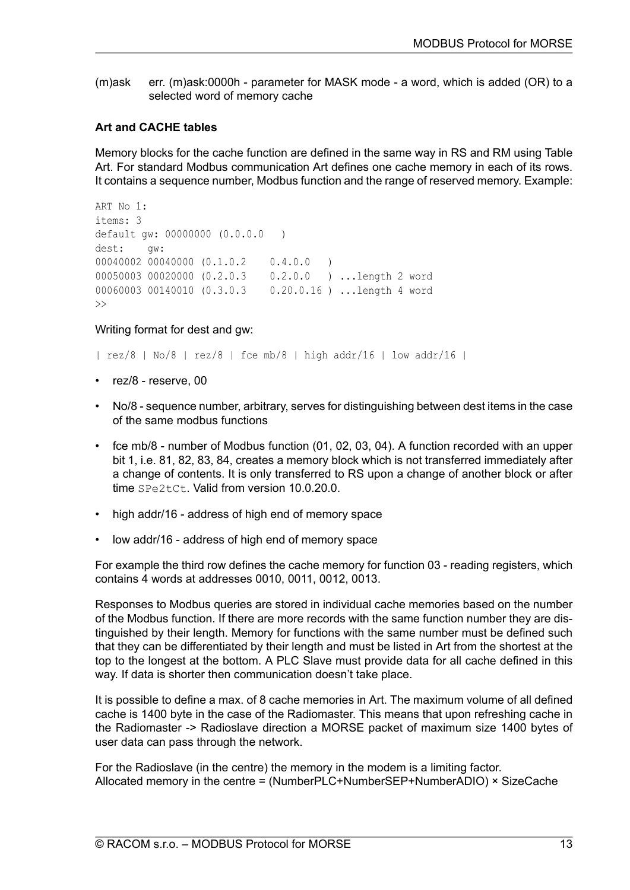(m)ask err. (m)ask:0000h - parameter for MASK mode - a word, which is added (OR) to a selected word of memory cache

### **Art and CACHE tables**

Memory blocks for the cache function are defined in the same way in RS and RM using Table Art. For standard Modbus communication Art defines one cache memory in each of its rows. It contains a sequence number, Modbus function and the range of reserved memory. Example:

```
ART No 1:
items: 3
default gw: 00000000 (0.0.0.0 )
dest: gw:
00040002 00040000 (0.1.0.2 0.4.0.0 )
00050003 00020000 (0.2.0.3 0.2.0.0 ) ...length 2 word
00060003 00140010 (0.3.0.3 0.20.0.16 ) ...length 4 word
\rightarrow
```
#### Writing format for dest and gw:

 $|$  rez/8 | No/8 | rez/8 | fce mb/8 | high addr/16 | low addr/16 |

- rez/8 reserve, 00
- No/8 sequence number, arbitrary, serves for distinguishing between dest items in the case of the same modbus functions
- fce mb/8 number of Modbus function (01, 02, 03, 04). A function recorded with an upper bit 1, i.e. 81, 82, 83, 84, creates a memory block which is not transferred immediately after a change of contents. It is only transferred to RS upon a change of another block or after time SPe2tCt. Valid from version 10.0.20.0.
- high addr/16 address of high end of memory space
- low addr/16 address of high end of memory space

For example the third row defines the cache memory for function 03 - reading registers, which contains 4 words at addresses 0010, 0011, 0012, 0013.

Responses to Modbus queries are stored in individual cache memories based on the number of the Modbus function. If there are more records with the same function number they are distinguished by their length. Memory for functions with the same number must be defined such that they can be differentiated by their length and must be listed in Art from the shortest at the top to the longest at the bottom. A PLC Slave must provide data for all cache defined in this way. If data is shorter then communication doesn't take place.

It is possible to define a max. of 8 cache memories in Art. The maximum volume of all defined cache is 1400 byte in the case of the Radiomaster. This means that upon refreshing cache in the Radiomaster -> Radioslave direction a MORSE packet of maximum size 1400 bytes of user data can pass through the network.

For the Radioslave (in the centre) the memory in the modem is a limiting factor. Allocated memory in the centre = (NumberPLC+NumberSEP+NumberADIO) × SizeCache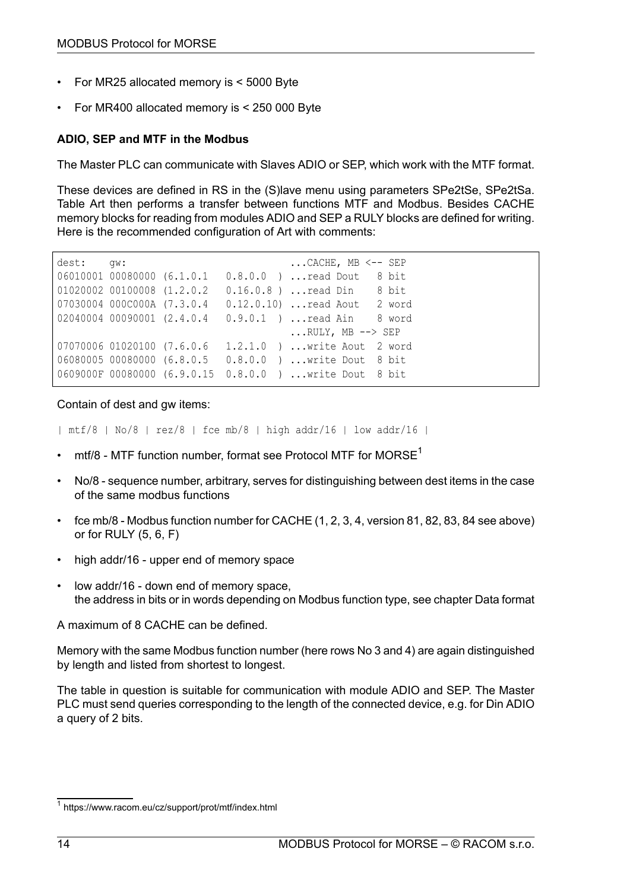- For MR25 allocated memory is < 5000 Byte
- For MR400 allocated memory is < 250 000 Byte

### **ADIO, SEP and MTF in the Modbus**

The Master PLC can communicate with Slaves ADIO or SEP, which work with the MTF format.

These devices are defined in RS in the (S)lave menu using parameters SPe2tSe, SPe2tSa. Table Art then performs a transfer between functions MTF and Modbus. Besides CACHE memory blocks for reading from modules ADIO and SEP a RULY blocks are defined for writing. Here is the recommended configuration of Art with comments:

```
dest: qw: ...CACHE, MB <-- SEP
06010001 00080000 (6.1.0.1 0.8.0.0 ) ...read Dout 8 bit
01020002 00100008 (1.2.0.2  0.16.0.8 ) ... read Din 8 bit
07030004 000C000A (7.3.0.4 0.12.0.10) ...read Aout 2 word
02040004 00090001 (2.4.0.4  0.9.0.1  ) ... read Ain 8 word
                                   ...RULY, MB --> SEP
07070006 01020100 (7.6.0.6 1.2.1.0 ) ... write Aout 2 word
06080005 00080000 (6.8.0.5 0.8.0.0 ) ...write Dout 8 bit
0609000F 00080000 (6.9.0.15 0.8.0.0 ) ...write Dout 8 bit
```
Contain of dest and gw items:

```
| mtf/8 | No/8 | rez/8 | fce mb/8 | high addr/16 | low addr/16 |
```
- $mft/8$  MTF function number, format see Protocol MTF for [MORSE](https://www.racom.eu/cz/support/prot/mtf/index.html)<sup>1</sup>
- No/8 sequence number, arbitrary, serves for distinguishing between dest items in the case of the same modbus functions
- fce mb/8 Modbus function number for CACHE (1, 2, 3, 4, version 81, 82, 83, 84 see above) or for RULY (5, 6, F)
- high addr/16 upper end of memory space
- low addr/16 down end of memory space, the address in bits or in words depending on Modbus function type, see chapter Data [format](#page-3-0)

A maximum of 8 CACHE can be defined.

Memory with the same Modbus function number (here rows No 3 and 4) are again distinguished by length and listed from shortest to longest.

The table in question is suitable for communication with module ADIO and SEP. The Master PLC must send queries corresponding to the length of the connected device, e.g. for Din ADIO a query of 2 bits.

<sup>1</sup> https://www.racom.eu/cz/support/prot/mtf/index.html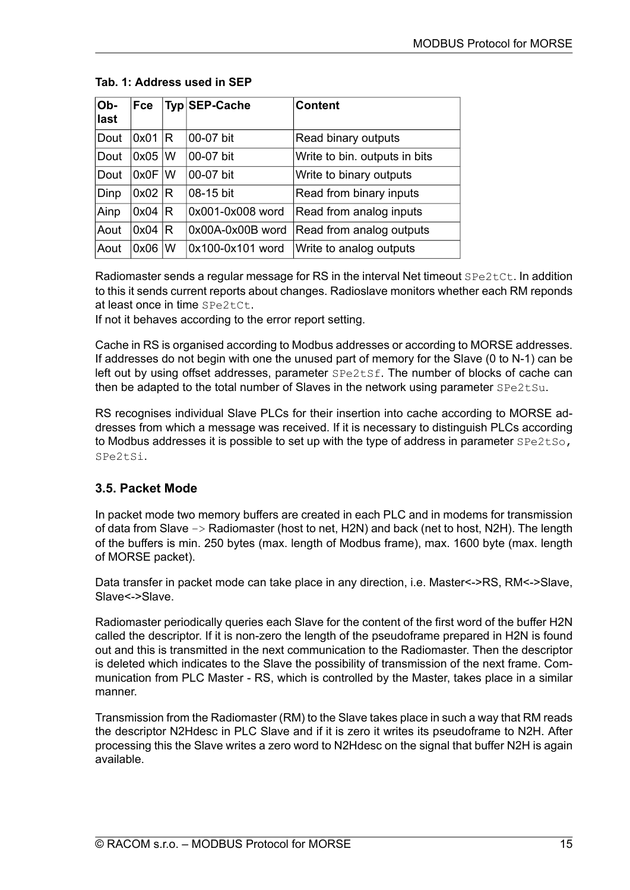| Ob-<br>last | <b>Fce</b> |   | Typ SEP-Cache    | <b>Content</b>                |
|-------------|------------|---|------------------|-------------------------------|
| Dout        | 0x01       | R | 00-07 bit        | Read binary outputs           |
| Dout        | 0x05       | W | 00-07 bit        | Write to bin. outputs in bits |
| Dout        | $0x0F$ $W$ |   | 00-07 bit        | Write to binary outputs       |
| Dinp        | 0x02 R     |   | 08-15 bit        | Read from binary inputs       |
| Ainp        | 0x04       | R | 0x001-0x008 word | Read from analog inputs       |
| Aout        | 0x04       | R | 0x00A-0x00B word | Read from analog outputs      |
| Aout        | 0x06       | W | 0x100-0x101 word | Write to analog outputs       |

### **Tab. 1: Address used in SEP**

Radiomaster sends a regular message for RS in the interval Net timeout SPe2tCt. In addition to this it sends current reports about changes. Radioslave monitors whether each RM reponds at least once in time SPe2tCt.

If not it behaves according to the error report setting.

Cache in RS is organised according to Modbus addresses or according to MORSE addresses. If addresses do not begin with one the unused part of memory for the Slave (0 to N-1) can be left out by using offset addresses, parameter  $SPE2tSf$ . The number of blocks of cache can then be adapted to the total number of Slaves in the network using parameter  $\text{SPe2tSu}$ .

RS recognises individual Slave PLCs for their insertion into cache according to MORSE addresses from which a message was received. If it is necessary to distinguish PLCs according to Modbus addresses it is possible to set up with the type of address in parameter  $SPE2tSo$ , SPe2tSi.

# **3.5. Packet Mode**

In packet mode two memory buffers are created in each PLC and in modems for transmission of data from Slave –> Radiomaster (host to net, H2N) and back (net to host, N2H). The length of the buffers is min. 250 bytes (max. length of Modbus frame), max. 1600 byte (max. length of MORSE packet).

Data transfer in packet mode can take place in any direction, i.e. Master<->RS, RM<->Slave, Slave<->Slave.

Radiomaster periodically queries each Slave for the content of the first word of the buffer H2N called the descriptor. If it is non-zero the length of the pseudoframe prepared in H2N is found out and this is transmitted in the next communication to the Radiomaster. Then the descriptor is deleted which indicates to the Slave the possibility of transmission of the next frame. Communication from PLC Master - RS, which is controlled by the Master, takes place in a similar manner.

Transmission from the Radiomaster (RM) to the Slave takes place in such a way that RM reads the descriptor N2Hdesc in PLC Slave and if it is zero it writes its pseudoframe to N2H. After processing this the Slave writes a zero word to N2Hdesc on the signal that buffer N2H is again available.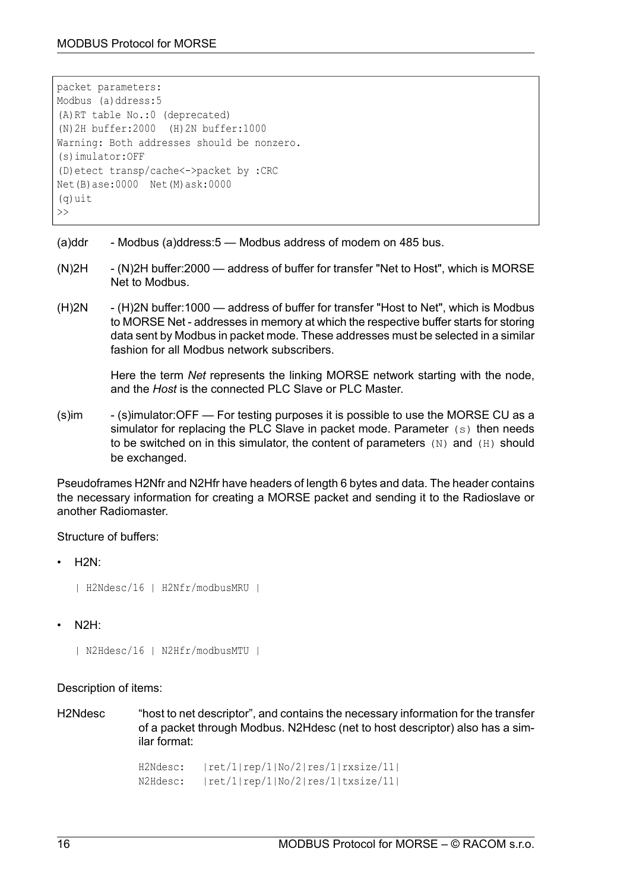```
packet parameters:
Modbus (a)ddress:5
(A)RT table No.:0 (deprecated)
(N)2H buffer:2000 (H)2N buffer:1000
Warning: Both addresses should be nonzero.
(s)imulator:OFF
(D)etect transp/cache<->packet by :CRC
Net(B)ase:0000 Net(M)ask:0000
(q)uit
\rightarrow
```
- (a)ddr Modbus (a)ddress:5 Modbus address of modem on 485 bus.
- (N)2H (N)2H buffer:2000 address of buffer for transfer "Net to Host", which is MORSE Net to Modbus.
- (H)2N (H)2N buffer:1000 address of buffer for transfer "Host to Net", which is Modbus to MORSE Net - addresses in memory at which the respective buffer starts for storing data sent by Modbus in packet mode. These addresses must be selected in a similar fashion for all Modbus network subscribers.

Here the term *Net* represents the linking MORSE network starting with the node, and the *Host* is the connected PLC Slave or PLC Master.

(s)im - (s)imulator:OFF — For testing purposes it is possible to use the MORSE CU as a simulator for replacing the PLC Slave in packet mode. Parameter (s) then needs to be switched on in this simulator, the content of parameters  $(N)$  and  $(H)$  should be exchanged.

Pseudoframes H2Nfr and N2Hfr have headers of length 6 bytes and data. The header contains the necessary information for creating a MORSE packet and sending it to the Radioslave or another Radiomaster.

#### Structure of buffers:

• H2N:

```
| H2Ndesc/16 | H2Nfr/modbusMRU |
```
• N2H:

```
| N2Hdesc/16 | N2Hfr/modbusMTU |
```
Description of items:

H2Ndesc "host to net descriptor", and contains the necessary information for the transfer of a packet through Modbus. N2Hdesc (net to host descriptor) also has a similar format:

> H2Ndesc: |ret/1|rep/1|No/2|res/1|rxsize/11| N2Hdesc: |ret/1|rep/1|No/2|res/1|txsize/11|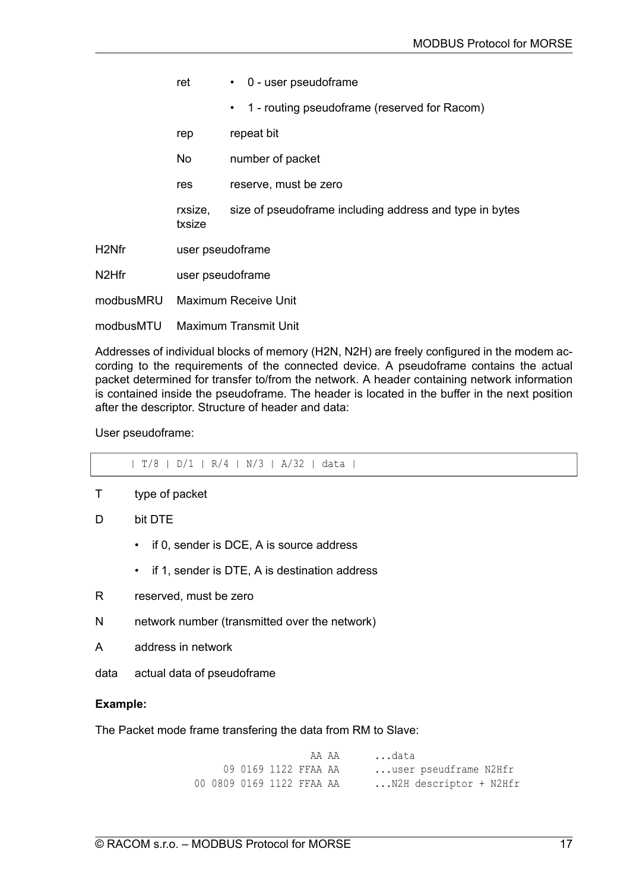|                    | ret                         | $\cdot$ 0 - user pseudoframe                              |
|--------------------|-----------------------------|-----------------------------------------------------------|
|                    |                             | 1 - routing pseudoframe (reserved for Racom)<br>$\bullet$ |
|                    | rep                         | repeat bit                                                |
|                    | No                          | number of packet                                          |
|                    | res                         | reserve, must be zero                                     |
|                    | rxsize,<br>txsize           | size of pseudoframe including address and type in bytes   |
| H <sub>2</sub> Nfr | user pseudoframe            |                                                           |
| N <sub>2</sub> Hfr | user pseudoframe            |                                                           |
| modbusMRU          | <b>Maximum Receive Unit</b> |                                                           |
| modbusMTU          | Maximum Transmit Unit       |                                                           |

Addresses of individual blocks of memory (H2N, N2H) are freely configured in the modem according to the requirements of the connected device. A pseudoframe contains the actual packet determined for transfer to/from the network. A header containing network information is contained inside the pseudoframe. The header is located in the buffer in the next position after the descriptor. Structure of header and data:

User pseudoframe:

| T/8 | D/1 | R/4 | N/3 | A/32 | data |

- T type of packet
- D bit DTE
	- if 0, sender is DCE, A is source address
	- if 1, sender is DTE, A is destination address
- R reserved, must be zero
- N network number (transmitted over the network)
- A address in network
- data actual data of pseudoframe

#### **Example:**

The Packet mode frame transfering the data from RM to Slave:

AA AA ...data 09 0169 1122 FFAA AA ...user pseudframe N2Hfr 00 0809 0169 1122 FFAA AA ...N2H descriptor + N2Hfr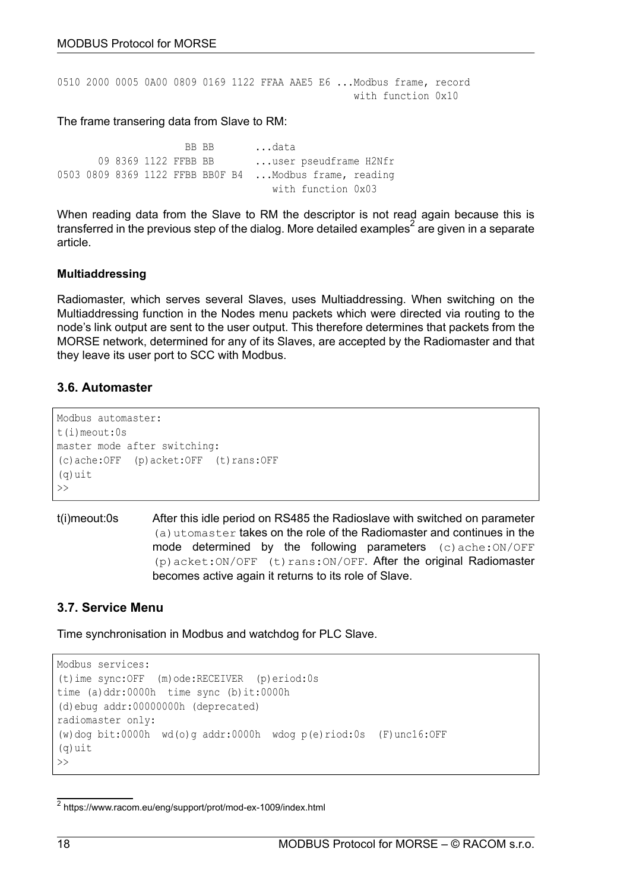0510 2000 0005 0A00 0809 0169 1122 FFAA AAE5 E6 ...Modbus frame, record with function 0x10

#### The frame transering data from Slave to RM:

BB BB ...data 09 8369 1122 FFBB BB ...user pseudframe H2Nfr 0503 0809 8369 1122 FFBB BB0F B4 ...Modbus frame, reading with function 0x03

When reading data from the Slave to RM the descriptor is not read again because this is transferred in the previous step of the dialog. More detailed [examples](https://www.racom.eu/eng/support/prot/mod-ex-1009/index.html)<sup>2</sup> are given in a separate article.

#### **Multiaddressing**

Radiomaster, which serves several Slaves, uses Multiaddressing. When switching on the Multiaddressing function in the Nodes menu packets which were directed via routing to the node's link output are sent to the user output. This therefore determines that packets from the MORSE network, determined for any of its Slaves, are accepted by the Radiomaster and that they leave its user port to SCC with Modbus.

# **3.6. Automaster**

```
Modbus automaster:
t(i)meout:0s
master mode after switching:
(c)ache:OFF (p)acket:OFF (t)rans:OFF
(q)uit
\rightarrow
```
t(i)meout:0s After this idle period on RS485 the Radioslave with switched on parameter (a)utomaster takes on the role of the Radiomaster and continues in the mode determined by the following parameters  $(c)$  ache: $ON/OFF$ (p)acket:ON/OFF (t)rans:ON/OFF. After the original Radiomaster becomes active again it returns to its role of Slave.

# **3.7. Service Menu**

Time synchronisation in Modbus and watchdog for PLC Slave.

```
Modbus services:
(t)ime sync:OFF (m)ode:RECEIVER (p)eriod:0s
time (a)ddr:0000h time sync (b)it:0000h
(d)ebug addr:00000000h (deprecated)
radiomaster only:
(w)dog bit:0000h wd(o)g addr:0000h wdog p(e)riod:0s (F)unc16:OFF
(a)uit
\rightarrow
```
<sup>&</sup>lt;sup>2</sup> https://www.racom.eu/eng/support/prot/mod-ex-1009/index.html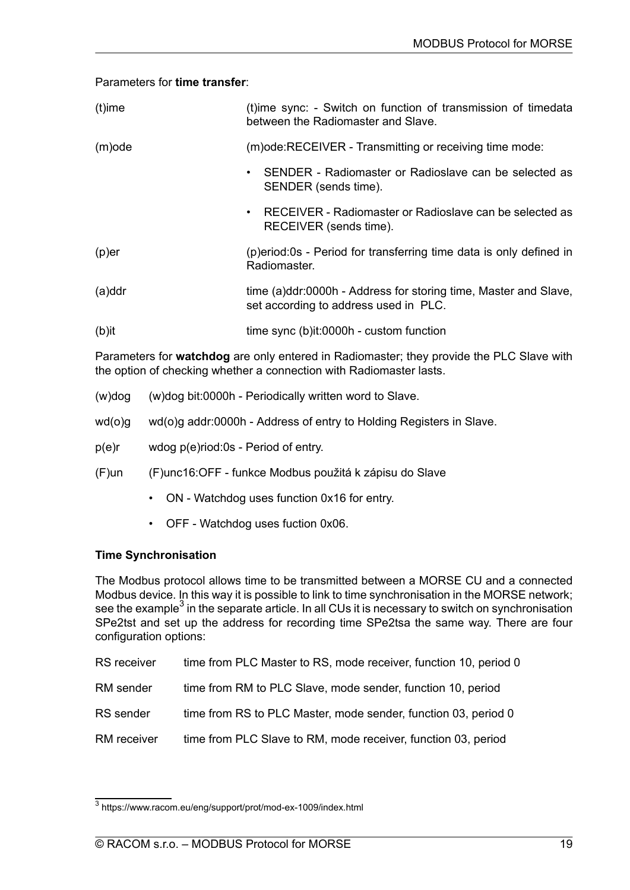#### Parameters for **time transfer**:

| $(t)$ ime | (t)ime sync: - Switch on function of transmission of timedata<br>between the Radiomaster and Slave.      |
|-----------|----------------------------------------------------------------------------------------------------------|
| $(m)$ ode | (m) ode: RECEIVER - Transmitting or receiving time mode:                                                 |
|           | SENDER - Radiomaster or Radioslave can be selected as<br>$\bullet$<br>SENDER (sends time).               |
|           | RECEIVER - Radiomaster or Radioslave can be selected as<br>$\bullet$<br>RECEIVER (sends time).           |
| $(p)$ er  | (p) eriod: 0s - Period for transferring time data is only defined in<br>Radiomaster.                     |
| $(a)$ ddr | time (a)ddr:0000h - Address for storing time, Master and Slave,<br>set according to address used in PLC. |
| $(b)$ it  | time sync (b)it:0000h - custom function                                                                  |

Parameters for **watchdog** are only entered in Radiomaster; they provide the PLC Slave with the option of checking whether a connection with Radiomaster lasts.

| (w)dog   | (w)dog bit:0000h - Periodically written word to Slave.              |
|----------|---------------------------------------------------------------------|
| wd(o)q   | wd(o)g addr:0000h - Address of entry to Holding Registers in Slave. |
| $p(e)$ r | wdog p(e)riod:0s - Period of entry.                                 |

# (F)un (F)unc16:OFF - funkce Modbus použitá k zápisu do Slave

- ON Watchdog uses function 0x16 for entry.
- OFF Watchdog uses fuction 0x06.

# **Time Synchronisation**

The Modbus protocol allows time to be transmitted between a MORSE CU and a connected Modbus device. In this way it is possible to link to time synchronisation in the MORSE network; see the [example](https://www.racom.eu/eng/support/prot/mod-ex-1009/index.html) $^3$  in the separate article. In all CUs it is necessary to switch on synchronisation SPe2tst and set up the address for recording time SPe2tsa the same way. There are four configuration options:

| <b>RS</b> receiver | time from PLC Master to RS, mode receiver, function 10, period 0 |
|--------------------|------------------------------------------------------------------|
| RM sender          | time from RM to PLC Slave, mode sender, function 10, period      |
| RS sender          | time from RS to PLC Master, mode sender, function 03, period 0   |
| RM receiver        | time from PLC Slave to RM, mode receiver, function 03, period    |

<sup>3</sup> https://www.racom.eu/eng/support/prot/mod-ex-1009/index.html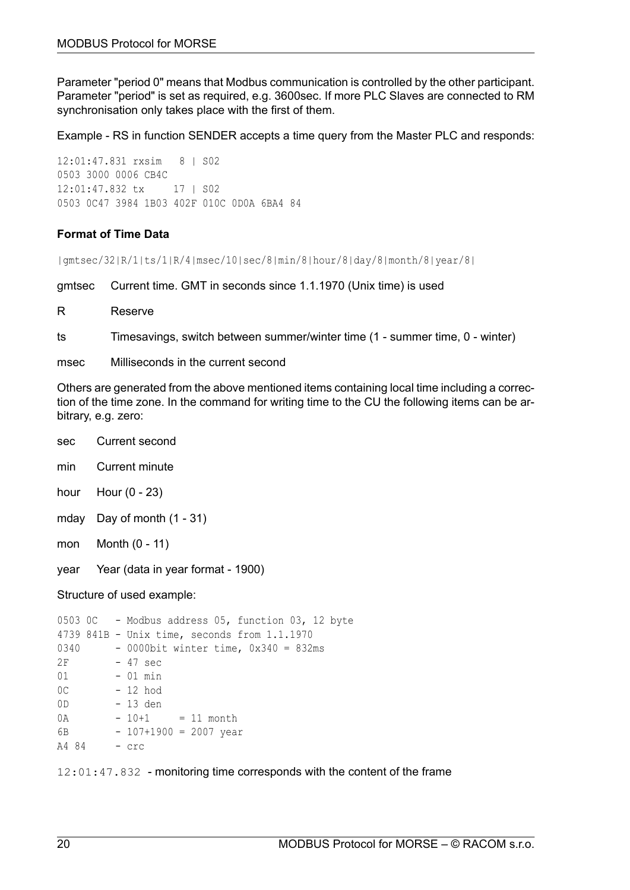Parameter "period 0" means that Modbus communication is controlled by the other participant. Parameter "period" is set as required, e.g. 3600sec. If more PLC Slaves are connected to RM synchronisation only takes place with the first of them.

Example - RS in function SENDER accepts a time query from the Master PLC and responds:

12:01:47.831 rxsim 8 | S02 0503 3000 0006 CB4C 12:01:47.832 tx 17 | S02 0503 0C47 3984 1B03 402F 010C 0D0A 6BA4 84

#### **Format of Time Data**

|gmtsec/32|R/1|ts/1|R/4|msec/10|sec/8|min/8|hour/8|day/8|month/8|year/8|

gmtsec Current time. GMT in seconds since 1.1.1970 (Unix time) is used

R Reserve

ts Timesavings, switch between summer/winter time (1 - summer time, 0 - winter)

msec Milliseconds in the current second

Others are generated from the above mentioned items containing local time including a correction of the time zone. In the command for writing time to the CU the following items can be arbitrary, e.g. zero:

- sec Current second
- min Current minute
- hour Hour (0 23)
- mday Day of month (1 31)
- mon Month (0 11)
- year Year (data in year format 1900)

Structure of used example:

```
0503 0C - Modbus address 05, function 03, 12 byte
4739 841B - Unix time, seconds from 1.1.1970
0340 - 0000bit winter time, 0x340 = 832ms
2F - 47 sec
01 - 01 min
0C - 12 hod
0D - 13 den
0A - 10+1 = 11 month
6B - 107+1900 = 2007 year
A4 84 - crc
```
12:01:47.832 - monitoring time corresponds with the content of the frame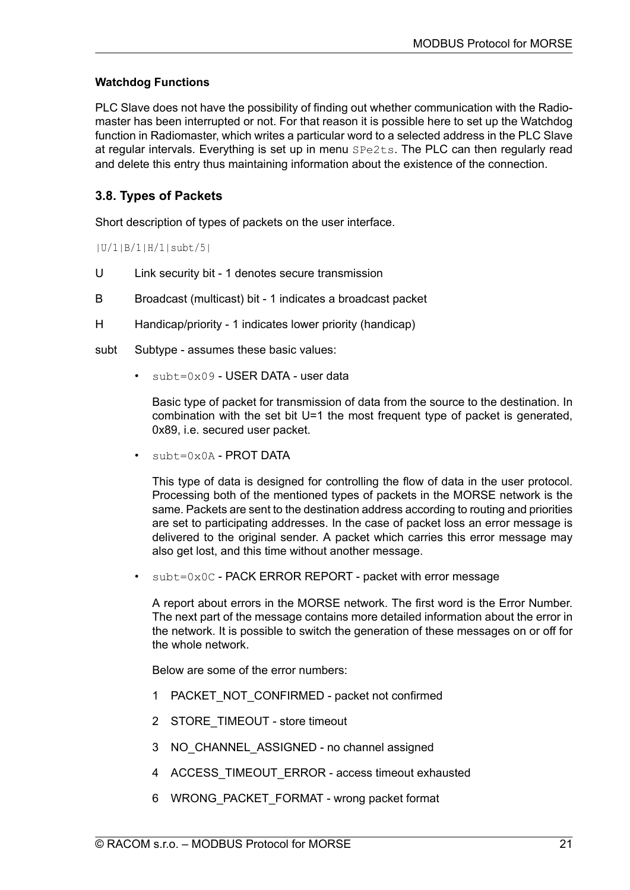# **Watchdog Functions**

PLC Slave does not have the possibility of finding out whether communication with the Radiomaster has been interrupted or not. For that reason it is possible here to set up the Watchdog function in Radiomaster, which writes a particular word to a selected address in the PLC Slave at regular intervals. Everything is set up in menu SPe2ts. The PLC can then regularly read and delete this entry thus maintaining information about the existence of the connection.

# **3.8. Types of Packets**

Short description of types of packets on the user interface.

|U/1|B/1|H/1|subt/5|

- U Link security bit 1 denotes secure transmission
- B Broadcast (multicast) bit 1 indicates a broadcast packet
- H Handicap/priority 1 indicates lower priority (handicap)

subt Subtype - assumes these basic values:

subt=0x09 - USER DATA - user data

Basic type of packet for transmission of data from the source to the destination. In combination with the set bit U=1 the most frequent type of packet is generated, 0x89, i.e. secured user packet.

 $subt=0x0A - PROT DATA$ 

This type of data is designed for controlling the flow of data in the user protocol. Processing both of the mentioned types of packets in the MORSE network is the same. Packets are sent to the destination address according to routing and priorities are set to participating addresses. In the case of packet loss an error message is delivered to the original sender. A packet which carries this error message may also get lost, and this time without another message.

• subt=0x0C - PACK ERROR REPORT - packet with error message

A report about errors in the MORSE network. The first word is the Error Number. The next part of the message contains more detailed information about the error in the network. It is possible to switch the generation of these messages on or off for the whole network.

Below are some of the error numbers:

- 1 PACKET\_NOT\_CONFIRMED packet not confirmed
- 2 STORE\_TIMEOUT store timeout
- 3 NO\_CHANNEL\_ASSIGNED no channel assigned
- 4 ACCESS\_TIMEOUT\_ERROR access timeout exhausted
- 6 WRONG\_PACKET\_FORMAT wrong packet format